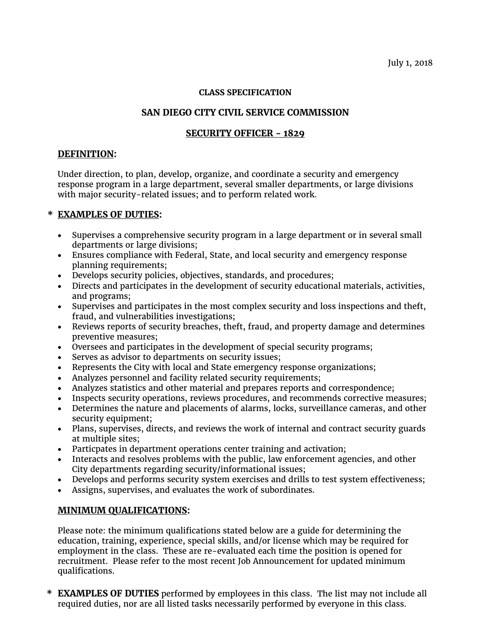#### **CLASS SPECIFICATION**

# **SAN DIEGO CITY CIVIL SERVICE COMMISSION**

## **SECURITY OFFICER - 1829**

### **DEFINITION:**

Under direction, to plan, develop, organize, and coordinate a security and emergency response program in a large department, several smaller departments, or large divisions with major security-related issues; and to perform related work.

# **\* EXAMPLES OF DUTIES:**

- Supervises a comprehensive security program in a large department or in several small departments or large divisions;
- Ensures compliance with Federal, State, and local security and emergency response planning requirements;
- Develops security policies, objectives, standards, and procedures;
- Directs and participates in the development of security educational materials, activities, and programs;
- Supervises and participates in the most complex security and loss inspections and theft, fraud, and vulnerabilities investigations;
- Reviews reports of security breaches, theft, fraud, and property damage and determines preventive measures;
- Oversees and participates in the development of special security programs;
- Serves as advisor to departments on security issues;
- Represents the City with local and State emergency response organizations;
- Analyzes personnel and facility related security requirements;
- Analyzes statistics and other material and prepares reports and correspondence;
- Inspects security operations, reviews procedures, and recommends corrective measures;
- Determines the nature and placements of alarms, locks, surveillance cameras, and other security equipment;
- Plans, supervises, directs, and reviews the work of internal and contract security guards at multiple sites;
- Particpates in department operations center training and activation;
- Interacts and resolves problems with the public, law enforcement agencies, and other City departments regarding security/informational issues;
- Develops and performs security system exercises and drills to test system effectiveness;
- Assigns, supervises, and evaluates the work of subordinates.

## **MINIMUM QUALIFICATIONS:**

Please note: the minimum qualifications stated below are a guide for determining the education, training, experience, special skills, and/or license which may be required for employment in the class. These are re-evaluated each time the position is opened for recruitment. Please refer to the most recent Job Announcement for updated minimum qualifications.

**\* EXAMPLES OF DUTIES** performed by employees in this class. The list may not include all required duties, nor are all listed tasks necessarily performed by everyone in this class.